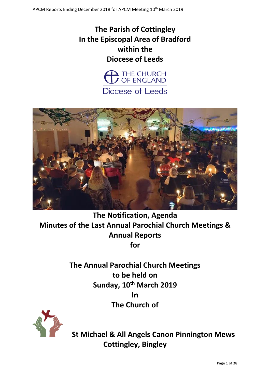# **The Parish of Cottingley In the Episcopal Area of Bradford within the Diocese of Leeds**





**The Notification, Agenda Minutes of the Last Annual Parochial Church Meetings & Annual Reports for**

> **The Annual Parochial Church Meetings to be held on Sunday, 10th March 2019 In The Church of**



 **St Michael & All Angels Canon Pinnington Mews Cottingley, Bingley**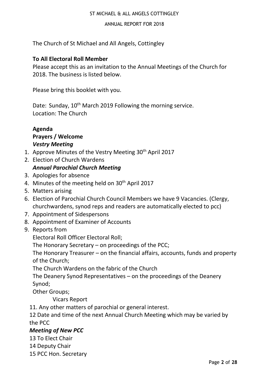#### ST MICHAEL & ALL ANGELS COTTINGLEY

#### ANNUAL REPORT FOR 2018

The Church of St Michael and All Angels, Cottingley

#### **To All Electoral Roll Member**

Please accept this as an invitation to the Annual Meetings of the Church for 2018. The business is listed below.

Please bring this booklet with you.

Date: Sunday, 10<sup>th</sup> March 2019 Following the morning service. Location: The Church

# **Agenda Prayers / Welcome** *Vestry Meeting*

- 1. Approve Minutes of the Vestry Meeting 30<sup>th</sup> April 2017
- 2. Election of Church Wardens

# *Annual Parochial Church Meeting*

- 3. Apologies for absence
- 4. Minutes of the meeting held on 30<sup>th</sup> April 2017
- 5. Matters arising
- 6. Election of Parochial Church Council Members we have 9 Vacancies. (Clergy, churchwardens, synod reps and readers are automatically elected to pcc)
- 7. Appointment of Sidespersons
- 8. Appointment of Examiner of Accounts
- 9. Reports from

Electoral Roll Officer Electoral Roll;

The Honorary Secretary – on proceedings of the PCC;

The Honorary Treasurer – on the financial affairs, accounts, funds and property of the Church;

The Church Wardens on the fabric of the Church

The Deanery Synod Representatives – on the proceedings of the Deanery Synod;

Other Groups;

Vicars Report

11. Any other matters of parochial or general interest.

12 Date and time of the next Annual Church Meeting which may be varied by the PCC

# *Meeting of New PCC*

13 To Elect Chair

14 Deputy Chair

15 PCC Hon. Secretary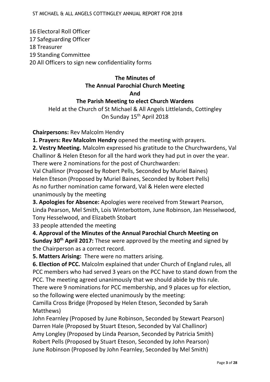16 Electoral Roll Officer 17 Safeguarding Officer 18 Treasurer 19 Standing Committee 20 All Officers to sign new confidentiality forms

# **The Minutes of The Annual Parochial Church Meeting And**

#### **The Parish Meeting to elect Church Wardens**

Held at the Church of St Michael & All Angels Littlelands, Cottingley On Sunday 15<sup>th</sup> April 2018

**Chairpersons:** Rev Malcolm Hendry

**1. Prayers: Rev Malcolm Hendry** opened the meeting with prayers.

**2. Vestry Meeting.** Malcolm expressed his gratitude to the Churchwardens, Val Challinor & Helen Eteson for all the hard work they had put in over the year. There were 2 nominations for the post of Churchwarden:

Val Challinor (Proposed by Robert Pells, Seconded by Muriel Baines) Helen Eteson (Proposed by Muriel Baines, Seconded by Robert Pells) As no further nomination came forward, Val & Helen were elected unanimously by the meeting

**3. Apologies for Absence:** Apologies were received from Stewart Pearson, Linda Pearson, Mel Smith, Lois Winterbottom, June Robinson, Jan Hesselwood, Tony Hesselwood, and Elizabeth Stobart

33 people attended the meeting

**4. Approval of the Minutes of the Annual Parochial Church Meeting on Sunday 30th April 2017:** These were approved by the meeting and signed by the Chairperson as a correct record.

**5. Matters Arising:** There were no matters arising.

**6. Election of PCC.** Malcolm explained that under Church of England rules, all PCC members who had served 3 years on the PCC have to stand down from the PCC. The meeting agreed unanimously that we should abide by this rule.

There were 9 nominations for PCC membership, and 9 places up for election, so the following were elected unanimously by the meeting:

Camilla Cross Bridge (Proposed by Helen Eteson, Seconded by Sarah Matthews)

John Fearnley (Proposed by June Robinson, Seconded by Stewart Pearson) Darren Hale (Proposed by Stuart Eteson, Seconded by Val Challinor) Amy Longley (Proposed by Linda Pearson, Seconded by Patricia Smith) Robert Pells (Proposed by Stuart Eteson, Seconded by John Pearson) June Robinson (Proposed by John Fearnley, Seconded by Mel Smith)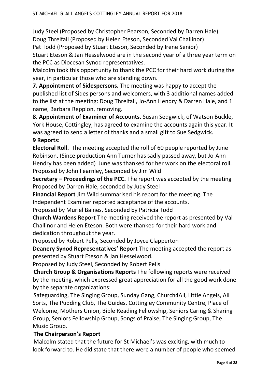Judy Steel (Proposed by Christopher Pearson, Seconded by Darren Hale) Doug Threlfall (Proposed by Helen Eteson, Seconded Val Challinor) Pat Todd (Proposed by Stuart Eteson, Seconded by Irene Senior) Stuart Eteson & Jan Hesselwood are in the second year of a three year term on the PCC as Diocesan Synod representatives.

Malcolm took this opportunity to thank the PCC for their hard work during the year, in particular those who are standing down.

**7. Appointment of Sidespersons.** The meeting was happy to accept the published list of Sides persons and welcomers, with 3 additional names added to the list at the meeting: Doug Threlfall, Jo-Ann Hendry & Darren Hale, and 1 name, Barbara Reppion, removing.

**8. Appointment of Examiner of Accounts.** Susan Sedgwick, of Watson Buckle, York House, Cottingley, has agreed to examine the accounts again this year. It was agreed to send a letter of thanks and a small gift to Sue Sedgwick. **9 Reports:**

**Electoral Roll.** The meeting accepted the roll of 60 people reported by June Robinson. (Since production Ann Turner has sadly passed away, but Jo-Ann Hendry has been added) June was thanked for her work on the electoral roll. Proposed by John Fearnley, Seconded by Jim Wild

**Secretary – Proceedings of the PCC.** The report was accepted by the meeting Proposed by Darren Hale, seconded by Judy Steel

**Financial Report** Jim Wild summarised his report for the meeting. The Independent Examiner reported acceptance of the accounts.

Proposed by Muriel Baines, Seconded by Patricia Todd

**Church Wardens Report** The meeting received the report as presented by Val Challinor and Helen Eteson. Both were thanked for their hard work and dedication throughout the year.

Proposed by Robert Pells, Seconded by Joyce Clapperton

**Deanery Synod Representatives' Report** The meeting accepted the report as presented by Stuart Eteson & Jan Hesselwood.

Proposed by Judy Steel, Seconded by Robert Pells

**Church Group & Organisations Reports** The following reports were received by the meeting, which expressed great appreciation for all the good work done by the separate organizations:

Safeguarding, The Singing Group, Sunday Gang, Church4All, Little Angels, All Sorts, The Pudding Club, The Guides, Cottingley Community Centre, Place of Welcome, Mothers Union, Bible Reading Fellowship, Seniors Caring & Sharing Group, Seniors Fellowship Group, Songs of Praise, The Singing Group, The Music Group.

# **The Chairperson's Report**

Malcolm stated that the future for St Michael's was exciting, with much to look forward to. He did state that there were a number of people who seemed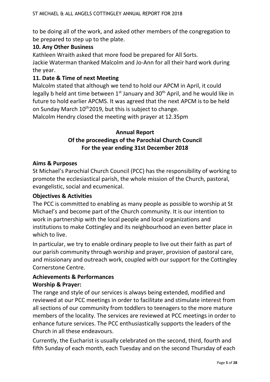to be doing all of the work, and asked other members of the congregation to be prepared to step up to the plate.

# **10. Any Other Business**

Kathleen Wraith asked that more food be prepared for All Sorts. Jackie Waterman thanked Malcolm and Jo-Ann for all their hard work during the year.

# **11. Date & Time of next Meeting**

Malcolm stated that although we tend to hold our APCM in April, it could legally b held ant time between  $1<sup>st</sup>$  January and  $30<sup>th</sup>$  April, and he would like in future to hold earlier APCMS. It was agreed that the next APCM is to be held on Sunday March 10<sup>th</sup>2019, but this is subject to change. Malcolm Hendry closed the meeting with prayer at 12.35pm

#### **Annual Report**

# **Of the proceedings of the Parochial Church Council For the year ending 31st December 2018**

#### **Aims & Purposes**

St Michael's Parochial Church Council (PCC) has the responsibility of working to promote the ecclesiastical parish, the whole mission of the Church, pastoral, evangelistic, social and ecumenical.

#### **Objectives & Activities**

The PCC is committed to enabling as many people as possible to worship at St Michael's and become part of the Church community. It is our intention to work in partnership with the local people and local organizations and institutions to make Cottingley and its neighbourhood an even better place in which to live.

In particular, we try to enable ordinary people to live out their faith as part of our parish community through worship and prayer, provision of pastoral care, and missionary and outreach work, coupled with our support for the Cottingley Cornerstone Centre.

# **Achievements & Performances Worship & Prayer:**

The range and style of our services is always being extended, modified and reviewed at our PCC meetings in order to facilitate and stimulate interest from all sections of our community from toddlers to teenagers to the more mature members of the locality. The services are reviewed at PCC meetings in order to enhance future services. The PCC enthusiastically supports the leaders of the Church in all these endeavours.

Currently, the Eucharist is usually celebrated on the second, third, fourth and fifth Sunday of each month, each Tuesday and on the second Thursday of each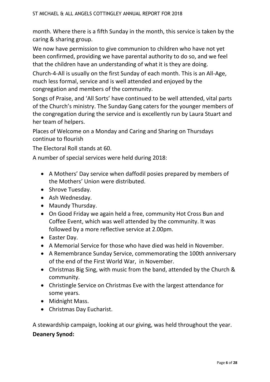month. Where there is a fifth Sunday in the month, this service is taken by the caring & sharing group.

We now have permission to give communion to children who have not yet been confirmed, providing we have parental authority to do so, and we feel that the children have an understanding of what it is they are doing.

Church-4-All is usually on the first Sunday of each month. This is an All-Age, much less formal, service and is well attended and enjoyed by the congregation and members of the community.

Songs of Praise, and 'All Sorts' have continued to be well attended, vital parts of the Church's ministry. The Sunday Gang caters for the younger members of the congregation during the service and is excellently run by Laura Stuart and her team of helpers.

Places of Welcome on a Monday and Caring and Sharing on Thursdays continue to flourish

The Electoral Roll stands at 60.

A number of special services were held during 2018:

- A Mothers' Day service when daffodil posies prepared by members of the Mothers' Union were distributed.
- Shrove Tuesday.
- Ash Wednesday.
- Maundy Thursday.
- On Good Friday we again held a free, community Hot Cross Bun and Coffee Event, which was well attended by the community. It was followed by a more reflective service at 2.00pm.
- Easter Day.
- A Memorial Service for those who have died was held in November.
- A Remembrance Sunday Service, commemorating the 100th anniversary of the end of the First World War, in November.
- Christmas Big Sing, with music from the band, attended by the Church & community.
- Christingle Service on Christmas Eve with the largest attendance for some years.
- Midnight Mass.
- Christmas Day Eucharist.

A stewardship campaign, looking at our giving, was held throughout the year. **Deanery Synod:**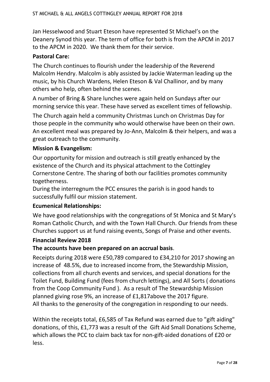Jan Hesselwood and Stuart Eteson have represented St Michael's on the Deanery Synod this year. The term of office for both is from the APCM in 2017 to the APCM in 2020. We thank them for their service.

## **Pastoral Care:**

The Church continues to flourish under the leadership of the Reverend Malcolm Hendry. Malcolm is ably assisted by Jackie Waterman leading up the music, by his Church Wardens, Helen Eteson & Val Challinor, and by many others who help, often behind the scenes.

A number of Bring & Share lunches were again held on Sundays after our morning service this year. These have served as excellent times of fellowship.

The Church again held a community Christmas Lunch on Christmas Day for those people in the community who would otherwise have been on their own. An excellent meal was prepared by Jo-Ann, Malcolm & their helpers, and was a great outreach to the community.

## **Mission & Evangelism:**

Our opportunity for mission and outreach is still greatly enhanced by the existence of the Church and its physical attachment to the Cottingley Cornerstone Centre. The sharing of both our facilities promotes community togetherness.

During the interregnum the PCC ensures the parish is in good hands to successfully fulfil our mission statement.

#### **Ecumenical Relationships:**

We have good relationships with the congregations of St Monica and St Mary's Roman Catholic Church, and with the Town Hall Church. Our friends from these Churches support us at fund raising events, Songs of Praise and other events.

#### **Financial Review 2018**

#### **The accounts have been prepared on an accrual basis**.

Receipts during 2018 were £50,789 compared to £34,210 for 2017 showing an increase of 48.5%, due to increased income from, the Stewardship Mission, collections from all church events and services, and special donations for the Toilet Fund, Building Fund (fees from church lettings), and All Sorts ( donations from the Coop Community Fund ). As a result of The Stewardship Mission planned giving rose 9%, an increase of £1,817above the 2017 figure. All thanks to the generosity of the congregation in responding to our needs.

Within the receipts total, £6,585 of Tax Refund was earned due to "gift aiding" donations, of this, £1,773 was a result of the Gift Aid Small Donations Scheme, which allows the PCC to claim back tax for non-gift-aided donations of £20 or less.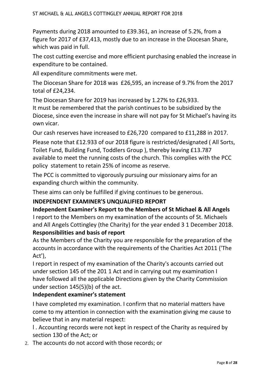Payments during 2018 amounted to £39.361, an increase of 5.2%, from a figure for 2017 of £37,413, mostly due to an increase in the Diocesan Share, which was paid in full.

The cost cutting exercise and more efficient purchasing enabled the increase in expenditure to be contained.

All expenditure commitments were met.

The Diocesan Share for 2018 was £26,595, an increase of 9.7% from the 2017 total of £24,234.

The Diocesan Share for 2019 has increased by 1.27% to £26,933.

It must be remembered that the parish continues to be subsidized by the Diocese, since even the increase in share will not pay for St Michael's having its own vicar.

Our cash reserves have increased to £26,720 compared to £11,288 in 2017.

Please note that £12.933 of our 2018 figure is restricted/designated ( All Sorts, Toilet Fund, Building Fund, Toddlers Group ), thereby leaving £13.787 available to meet the running costs of the church. This complies with the PCC policy statement to retain 25% of income as reserve.

The PCC is committed to vigorously pursuing our missionary aims for an expanding church within the community.

These aims can only be fulfilled if giving continues to be generous.

# **INDEPENDENT EXAMINER'S UNQUALIFIED REPORT**

**Independent Examiner's Report to the Members of St Michael & All Angels** I report to the Members on my examination of the accounts of St. Michaels and All Angels Cottingley (the Charity) for the year ended 3 1 December 2018. **Responsibilities and basis of report**

As the Members of the Charity you are responsible for the preparation of the accounts in accordance with the requirements of the Charities Act 2011 ('The Act'),

I report in respect of my examination of the Charity's accounts carried out under section 145 of the 201 1 Act and in carrying out my examination I have followed all the applicable Directions given by the Charity Commission under section 145(5)(b) of the act.

# **Independent examiner's statement**

I have completed my examination. I confirm that no material matters have come to my attention in connection with the examination giving me cause to believe that in any material respect:

l . Accounting records were not kept in respect of the Charity as required by section 130 of the Act; or

2. The accounts do not accord with those records; or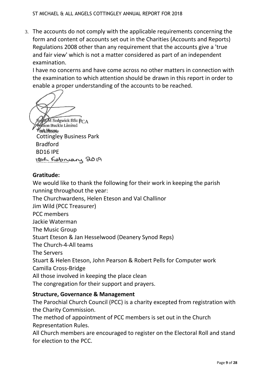3. The accounts do not comply with the applicable requirements concerning the form and content of accounts set out in the Charities (Accounts and Reports) Regulations 2008 other than any requirement that the accounts give a 'true and fair view' which is not a matter considered as part of an independent examination.

I have no concerns and have come across no other matters in connection with the examination to which attention should be drawn in this report in order to enable a proper understanding of the accounts to be reached.

M Sedgwick BSc FCA fson Buckle Limited **Pork House** Cottingley Business Park Bradford BD16 IPE<br>1846 February 2019

# **Gratitude:**

We would like to thank the following for their work in keeping the parish running throughout the year: The Churchwardens, Helen Eteson and Val Challinor Jim Wild (PCC Treasurer) PCC members Jackie Waterman The Music Group Stuart Eteson & Jan Hesselwood (Deanery Synod Reps) The Church-4-All teams The Servers Stuart & Helen Eteson, John Pearson & Robert Pells for Computer work Camilla Cross-Bridge All those involved in keeping the place clean The congregation for their support and prayers.

#### **Structure, Governance & Management**

The Parochial Church Council (PCC) is a charity excepted from registration with the Charity Commission.

The method of appointment of PCC members is set out in the Church Representation Rules.

All Church members are encouraged to register on the Electoral Roll and stand for election to the PCC.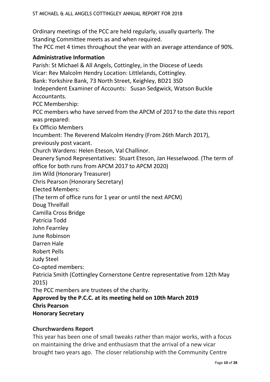Ordinary meetings of the PCC are held regularly, usually quarterly. The Standing Committee meets as and when required.

The PCC met 4 times throughout the year with an average attendance of 90%.

#### **Administrative Information**

Parish: St Michael & All Angels, Cottingley, in the Diocese of Leeds Vicar: Rev Malcolm Hendry Location: Littlelands, Cottingley. Bank: Yorkshire Bank, 73 North Street, Keighley, BD21 3SD Independent Examiner of Accounts: Susan Sedgwick, Watson Buckle Accountants. PCC Membership: PCC members who have served from the APCM of 2017 to the date this report was prepared: Ex Officio Members Incumbent: The Reverend Malcolm Hendry (From 26th March 2017), previously post vacant. Church Wardens: Helen Eteson, Val Challinor. Deanery Synod Representatives: Stuart Eteson, Jan Hesselwood. (The term of office for both runs from APCM 2017 to APCM 2020) Jim Wild (Honorary Treasurer) Chris Pearson (Honorary Secretary) Elected Members: (The term of office runs for 1 year or until the next APCM) Doug Threlfall Camilla Cross Bridge Patricia Todd John Fearnley June Robinson Darren Hale Robert Pells Judy Steel Co-opted members: Patricia Smith (Cottingley Cornerstone Centre representative from 12th May 2015)

The PCC members are trustees of the charity.

# **Approved by the P.C.C. at its meeting held on 10th March 2019 Chris Pearson**

**Honorary Secretary**

#### **Churchwardens Report**

This year has been one of small tweaks rather than major works, with a focus on maintaining the drive and enthusiasm that the arrival of a new vicar brought two years ago. The closer relationship with the Community Centre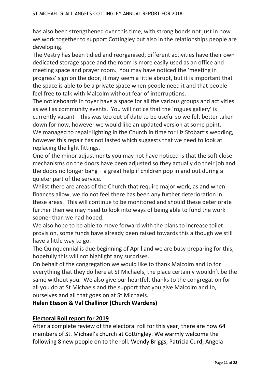has also been strengthened over this time, with strong bonds not just in how we work together to support Cottingley but also in the relationships people are developing.

The Vestry has been tidied and reorganised, different activities have their own dedicated storage space and the room is more easily used as an office and meeting space and prayer room. You may have noticed the 'meeting in progress' sign on the door, it may seem a little abrupt, but it is important that the space is able to be a private space when people need it and that people feel free to talk with Malcolm without fear of interruptions.

The noticeboards in foyer have a space for all the various groups and activities as well as community events. You will notice that the 'rogues gallery' is currently vacant – this was too out of date to be useful so we felt better taken down for now, however we would like an updated version at some point. We managed to repair lighting in the Church in time for Liz Stobart's wedding, however this repair has not lasted which suggests that we need to look at replacing the light fittings.

One of the minor adjustments you may not have noticed is that the soft close mechanisms on the doors have been adjusted so they actually do their job and the doors no longer bang – a great help if children pop in and out during a quieter part of the service.

Whilst there are areas of the Church that require major work, as and when finances allow, we do not feel there has been any further deterioration in these areas. This will continue to be monitored and should these deteriorate further then we may need to look into ways of being able to fund the work sooner than we had hoped.

We also hope to be able to move forward with the plans to increase toilet provision, some funds have already been raised towards this although we still have a little way to go.

The Quinquennial is due beginning of April and we are busy preparing for this, hopefully this will not highlight any surprises.

On behalf of the congregation we would like to thank Malcolm and Jo for everything that they do here at St Michaels, the place certainly wouldn't be the same without you. We also give our heartfelt thanks to the congregation for all you do at St Michaels and the support that you give Malcolm and Jo, ourselves and all that goes on at St Michaels.

**Helen Eteson & Val Challinor (Church Wardens)**

# **Electoral Roll report for 2019**

After a complete review of the electoral roll for this year, there are now 64 members of St. Michael's church at Cottingley. We warmly welcome the following 8 new people on to the roll. Wendy Briggs, Patricia Curd, Angela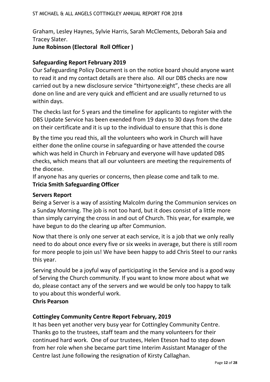Graham, Lesley Haynes, Sylvie Harris, Sarah McClements, Deborah Saia and Tracey Slater.

# **June Robinson (Electoral Roll Officer )**

# **Safeguarding Report February 2019**

Our Safeguarding Policy Document is on the notice board should anyone want to read it and my contact details are there also. All our DBS checks are now carried out by a new disclosure service "thirtyone:eight", these checks are all done on line and are very quick and efficient and are usually returned to us within days.

The checks last for 5 years and the timeline for applicants to register with the DBS Update Service has been exended from 19 days to 30 days from the date on their certificate and it is up to the individual to ensure that this is done

By the time you read this, all the volunteers who work in Church will have either done the online course in safeguarding or have attended the course which was held in Church in February and everyone will have updated DBS checks, which means that all our volunteers are meeting the requirements of the diocese.

If anyone has any queries or concerns, then please come and talk to me. **Tricia Smith Safeguarding Officer** 

#### **Servers Report**

Being a Server is a way of assisting Malcolm during the Communion services on a Sunday Morning. The job is not too hard, but it does consist of a little more than simply carrying the cross in and out of Church. This year, for example, we have begun to do the clearing up after Communion.

Now that there is only one server at each service, it is a job that we only really need to do about once every five or six weeks in average, but there is still room for more people to join us! We have been happy to add Chris Steel to our ranks this year.

Serving should be a joyful way of participating in the Service and is a good way of Serving the Church community. If you want to know more about what we do, please contact any of the servers and we would be only too happy to talk to you about this wonderful work.

#### **Chris Pearson**

# **Cottingley Community Centre Report February, 2019**

It has been yet another very busy year for Cottingley Community Centre. Thanks go to the trustees, staff team and the many volunteers for their continued hard work. One of our trustees, Helen Eteson had to step down from her role when she became part time Interim Assistant Manager of the Centre last June following the resignation of Kirsty Callaghan.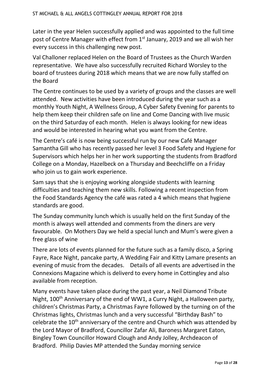Later in the year Helen successfully applied and was appointed to the full time post of Centre Manager with effect from 1<sup>st</sup> January, 2019 and we all wish her every success in this challenging new post.

Val Challoner replaced Helen on the Board of Trustees as the Church Warden representative. We have also successfully recruited Richard Worsley to the board of trustees during 2018 which means that we are now fully staffed on the Board

The Centre continues to be used by a variety of groups and the classes are well attended. New activities have been introduced during the year such as a monthly Youth Night, A Wellness Group, A Cyber Safety Evening for parents to help them keep their children safe on line and Come Dancing with live music on the third Saturday of each month. Helen is always looking for new ideas and would be interested in hearing what you want from the Centre.

The Centre's café is now being successful run by our new Café Manager Samantha Gill who has recently passed her level 3 Food Safety and Hygiene for Supervisors which helps her in her work supporting the students from Bradford College on a Monday, Hazelbeck on a Thursday and Beechcliffe on a Friday who join us to gain work experience.

Sam says that she is enjoying working alongside students with learning difficulties and teaching them new skills. Following a recent inspection from the Food Standards Agency the café was rated a 4 which means that hygiene standards are good.

The Sunday community lunch which is usually held on the first Sunday of the month is always well attended and comments from the diners are very favourable. On Mothers Day we held a special lunch and Mum's were given a free glass of wine

There are lots of events planned for the future such as a family disco, a Spring Fayre, Race Night, pancake party, A Wedding Fair and Kitty Lamare presents an evening of music from the decades. Details of all events are advertised in the Connexions Magazine which is deliverd to every home in Cottingley and also available from reception.

Many events have taken place during the past year, a Neil Diamond Tribute Night, 100<sup>th</sup> Anniversary of the end of WW1, a Curry Night, a Halloween party, children's Christmas Party, a Christmas Fayre followed by the turning on of the Christmas lights, Christmas lunch and a very successful "Birthday Bash" to celebrate the 10<sup>th</sup> anniversary of the centre and Church which was attended by the Lord Mayor of Bradford, Councillor Zafar Ali, Baroness Margaret Eaton, Bingley Town Councillor Howard Clough and Andy Jolley, Archdeacon of Bradford. Philip Davies MP attended the Sunday morning service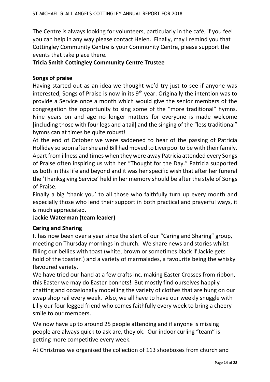The Centre is always looking for volunteers, particularly in the café, if you feel you can help in any way please contact Helen. Finally, may I remind you that Cottingley Community Centre is your Community Centre, please support the events that take place there.

#### **Tricia Smith Cottingley Community Centre Trustee**

#### **Songs of praise**

Having started out as an idea we thought we'd try just to see if anyone was interested, Songs of Praise is now in its  $9<sup>th</sup>$  year. Originally the intention was to provide a Service once a month which would give the senior members of the congregation the opportunity to sing some of the "more traditional" hymns. Nine years on and age no longer matters for everyone is made welcome [including those with four legs and a tail] and the singing of the "less traditional" hymns can at times be quite robust!

At the end of October we were saddened to hear of the passing of Patricia Holliday so soon after she and Bill had moved to Liverpool to be with their family. Apart from illness and times when they were away Patricia attended every Songs of Praise often inspiring us with her "Thought for the Day." Patricia supported us both in this life and beyond and it was her specific wish that after her funeral the 'Thanksgiving Service' held in her memory should be after the style of Songs of Praise.

Finally a big 'thank you' to all those who faithfully turn up every month and especially those who lend their support in both practical and prayerful ways, it is much appreciated.

#### **Jackie Waterman (team leader)**

#### **Caring and Sharing**

It has now been over a year since the start of our "Caring and Sharing" group, meeting on Thursday mornings in church. We share news and stories whilst filling our bellies with toast (white, brown or sometimes black if Jackie gets hold of the toaster!) and a variety of marmalades, a favourite being the whisky flavoured variety.

We have tried our hand at a few crafts inc. making Easter Crosses from ribbon, this Easter we may do Easter bonnets! But mostly find ourselves happily chatting and occasionally modelling the variety of clothes that are hung on our swap shop rail every week. Also, we all have to have our weekly snuggle with Lilly our four legged friend who comes faithfully every week to bring a cheery smile to our members.

We now have up to around 25 people attending and if anyone is missing people are always quick to ask are, they ok. Our indoor curling "team" is getting more competitive every week.

At Christmas we organised the collection of 113 shoeboxes from church and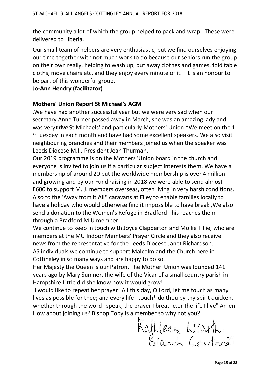the community a lot of which the group helped to pack and wrap. These were delivered to Liberia.

Our small team of helpers are very enthusiastic, but we find ourselves enjoying our time together with not much work to do because our seniors run the group on their own really, helping to wash up, put away clothes and games, fold table cloths, move chairs etc. and they enjoy every minute of it. It is an honour to be part of this wonderful group.

## **Jo-Ann Hendry (facilitator)**

## **Mothers' Union Report St Michael's AGM**

We have had another successful year but we were very sad when our secretary Anne Turner passed away in March, she was an amazing lady and was very rtive St Michaels' and particularly Mothers' Union \*We meet on the 1 st Tuesday in each month and have had some excellent speakers. We also visit neighbouring branches and their members joined us when the speaker was Leeds Diocese M.I.J President Jean Thurman.

Our 2019 programme is on the Mothers 'Union board in the church and everyone is invited to join us if a particular subject interests them. We have a membership of around 20 but the worldwide membership is over 4 million and growing and by our Fund raising in 2018 we were able to send almost E600 to support M.IJ. members overseas, often living in very harsh conditions. Also to the 'Away from it All\* caravans at Filey to enable families locally to have a holiday who would otherwise find it impossible to have break ,We also send a donation to the Women's Refuge in Bradford This reaches them through a Bradford M.U member.

We continue to keep in touch with Joyce Clapperton and Mollie Tillie, who are members at the MU Indoor Members' Prayer Circle and they also receive news from the representative for the Leeds Diocese Janet Richardson. AS individuals we continue to support Malcolm and the Church here in Cottingley in so many ways and are happy to do so.

Her Majesty the Queen is our Patron. The Mother' Union was founded 141 years ago by Mary Sumner, the wife of the Vicar of a small country parish in Hampshire.Little did she know how it would grow!

I would like to repeat her prayer "All this day, O Lord, let me touch as many lives as possible for thee; and every life I touch\* do thou by thy spirit quicken, whether through the word I speak, the prayer I breathe,or the life I live" Amen How about joining us? Bishop Toby is a member so why not you?

Kathleen Wrarth,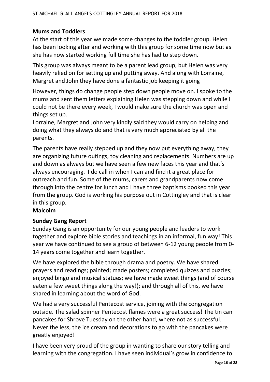# **Mums and Toddlers**

At the start of this year we made some changes to the toddler group. Helen has been looking after and working with this group for some time now but as she has now started working full time she has had to step down.

This group was always meant to be a parent lead group, but Helen was very heavily relied on for setting up and putting away. And along with Lorraine, Margret and John they have done a fantastic job keeping it going

However, things do change people step down people move on. I spoke to the mums and sent them letters explaining Helen was stepping down and while I could not be there every week, I would make sure the church was open and things set up.

Lorraine, Margret and John very kindly said they would carry on helping and doing what they always do and that is very much appreciated by all the parents.

The parents have really stepped up and they now put everything away, they are organizing future outings, toy cleaning and replacements. Numbers are up and down as always but we have seen a few new faces this year and that's always encouraging. I do call in when I can and find it a great place for outreach and fun. Some of the mums, carers and grandparents now come through into the centre for lunch and I have three baptisms booked this year from the group. God is working his purpose out in Cottingley and that is clear in this group.

# **Malcolm**

# **Sunday Gang Report**

Sunday Gang is an opportunity for our young people and leaders to work together and explore bible stories and teachings in an informal, fun way! This year we have continued to see a group of between 6-12 young people from 0- 14 years come together and learn together.

We have explored the bible through drama and poetry. We have shared prayers and readings; painted; made posters; completed quizzes and puzzles; enjoyed bingo and musical statues; we have made sweet things (and of course eaten a few sweet things along the way!); and through all of this, we have shared in learning about the word of God.

We had a very successful Pentecost service, joining with the congregation outside. The salad spinner Pentecost flames were a great success! The tin can pancakes for Shrove Tuesday on the other hand, where not as successful. Never the less, the ice cream and decorations to go with the pancakes were greatly enjoyed!

I have been very proud of the group in wanting to share our story telling and learning with the congregation. I have seen individual's grow in confidence to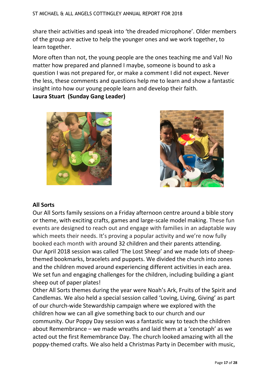share their activities and speak into 'the dreaded microphone'. Older members of the group are active to help the younger ones and we work together, to learn together.

More often than not, the young people are the ones teaching me and Val! No matter how prepared and planned I maybe, someone is bound to ask a question I was not prepared for, or make a comment I did not expect. Never the less, these comments and questions help me to learn and show a fantastic insight into how our young people learn and develop their faith. **Laura Stuart (Sunday Gang Leader)**





# **All Sorts**

Our All Sorts family sessions on a Friday afternoon centre around a bible story or theme, with exciting crafts, games and large-scale model making. These fun events are designed to reach out and engage with families in an adaptable way which meets their needs. It's proving a popular activity and we're now fully booked each month with around 32 children and their parents attending. Our April 2018 session was called 'The Lost Sheep' and we made lots of sheepthemed bookmarks, bracelets and puppets. We divided the church into zones and the children moved around experiencing different activities in each area. We set fun and engaging challenges for the children, including building a giant sheep out of paper plates!

Other All Sorts themes during the year were Noah's Ark, Fruits of the Spirit and Candlemas. We also held a special session called 'Loving, Living, Giving' as part of our church-wide Stewardship campaign where we explored with the children how we can all give something back to our church and our community. Our Poppy Day session was a fantastic way to teach the children about Remembrance – we made wreaths and laid them at a 'cenotaph' as we acted out the first Remembrance Day. The church looked amazing with all the poppy-themed crafts. We also held a Christmas Party in December with music,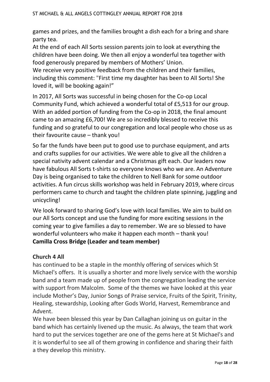games and prizes, and the families brought a dish each for a bring and share party tea.

At the end of each All Sorts session parents join to look at everything the children have been doing. We then all enjoy a wonderful tea together with food generously prepared by members of Mothers' Union.

We receive very positive feedback from the children and their families, including this comment: "First time my daughter has been to All Sorts! She loved it, will be booking again!"

In 2017, All Sorts was successful in being chosen for the Co-op Local Community Fund, which achieved a wonderful total of £5,513 for our group. With an added portion of funding from the Co-op in 2018, the final amount came to an amazing £6,700! We are so incredibly blessed to receive this funding and so grateful to our congregation and local people who chose us as their favourite cause – thank you!

So far the funds have been put to good use to purchase equipment, and arts and crafts supplies for our activities. We were able to give all the children a special nativity advent calendar and a Christmas gift each. Our leaders now have fabulous All Sorts t-shirts so everyone knows who we are. An Adventure Day is being organised to take the children to Nell Bank for some outdoor activities. A fun circus skills workshop was held in February 2019, where circus performers came to church and taught the children plate spinning, juggling and unicycling!

We look forward to sharing God's love with local families. We aim to build on our All Sorts concept and use the funding for more exciting sessions in the coming year to give families a day to remember. We are so blessed to have wonderful volunteers who make it happen each month – thank you! **Camilla Cross Bridge (Leader and team member)**

# **Church 4 All**

has continued to be a staple in the monthly offering of services which St Michael's offers. It is usually a shorter and more lively service with the worship band and a team made up of people from the congregation leading the service with support from Malcolm. Some of the themes we have looked at this year include Mother's Day, Junior Songs of Praise service, Fruits of the Spirit, Trinity, Healing, stewardship, Looking after Gods World, Harvest, Remembrance and Advent.

We have been blessed this year by Dan Callaghan joining us on guitar in the band which has certainly livened up the music. As always, the team that work hard to put the services together are one of the gems here at St Michael's and it is wonderful to see all of them growing in confidence and sharing their faith a they develop this ministry.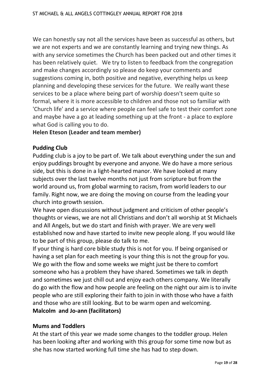We can honestly say not all the services have been as successful as others, but we are not experts and we are constantly learning and trying new things. As with any service sometimes the Church has been packed out and other times it has been relatively quiet. We try to listen to feedback from the congregation and make changes accordingly so please do keep your comments and suggestions coming in, both positive and negative, everything helps us keep planning and developing these services for the future. We really want these services to be a place where being part of worship doesn't seem quite so formal, where it is more accessible to children and those not so familiar with 'Church life' and a service where people can feel safe to test their comfort zone and maybe have a go at leading something up at the front - a place to explore what God is calling you to do.

#### **Helen Eteson (Leader and team member)**

#### **Pudding Club**

Pudding club is a joy to be part of. We talk about everything under the sun and enjoy puddings brought by everyone and anyone. We do have a more serious side, but this is done in a light-hearted manor. We have looked at many subjects over the last twelve months not just from scripture but from the world around us, from global warming to racism, from world leaders to our family. Right now, we are doing the moving on course from the leading your church into growth session.

We have open discussions without judgment and criticism of other people's thoughts or views, we are not all Christians and don't all worship at St Michaels and All Angels, but we do start and finish with prayer. We are very well established now and have started to invite new people along. If you would like to be part of this group, please do talk to me.

If your thing is hard core bible study this is not for you. If being organised or having a set plan for each meeting is your thing this is not the group for you. We go with the flow and some weeks we might just be there to comfort someone who has a problem they have shared. Sometimes we talk in depth and sometimes we just chill out and enjoy each others company. We literally do go with the flow and how people are feeling on the night our aim is to invite people who are still exploring their faith to join in with those who have a faith and those who are still looking. But to be warm open and welcoming. **Malcolm and Jo-ann (facilitators)** 

#### **Mums and Toddlers**

At the start of this year we made some changes to the toddler group. Helen has been looking after and working with this group for some time now but as she has now started working full time she has had to step down.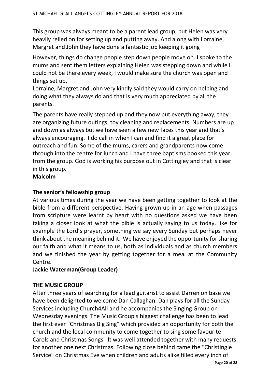This group was always meant to be a parent lead group, but Helen was very heavily relied on for setting up and putting away. And along with Lorraine, Margret and John they have done a fantastic job keeping it going

However, things do change people step down people move on. I spoke to the mums and sent them letters explaining Helen was stepping down and while I could not be there every week, I would make sure the church was open and things set up.

Lorraine, Margret and John very kindly said they would carry on helping and doing what they always do and that is very much appreciated by all the parents.

The parents have really stepped up and they now put everything away, they are organizing future outings, toy cleaning and replacements. Numbers are up and down as always but we have seen a few new faces this year and that's always encouraging. I do call in when I can and find it a great place for outreach and fun. Some of the mums, carers and grandparents now come through into the centre for lunch and I have three baptisms booked this year from the group. God is working his purpose out in Cottingley and that is clear in this group.

**Malcolm**

# **The senior's fellowship group**

At various times during the year we have been getting together to look at the bible from a different perspective. Having grown up in an age when passages from scripture were learnt by heart with no questions asked we have been taking a closer look at what the bible is actually saying to us today, like for example the Lord's prayer, something we say every Sunday but perhaps never think about the meaning behind it. We have enjoyed the opportunity for sharing our faith and what it means to us, both as individuals and as church members and we finished the year by getting together for a meal at the Community Centre.

# **Jackie Waterman(Group Leader)**

# **THE MUSIC GROUP**

After three years of searching for a lead guitarist to assist Darren on base we have been delighted to welcome Dan Callaghan. Dan plays for all the Sunday Services including Church4All and he accompanies the Singing Group on Wednesday evenings. The Music Group's biggest challenge has been to lead the first ever "Christmas Big Sing" which provided an opportunity for both the church and the local community to come together to sing some favourite Carols and Christmas Songs. It was well attended together with many requests for another one next Christmas. Following close behind came the "Christingle Service" on Christmas Eve when children and adults alike filled every inch of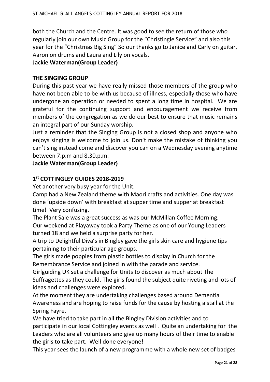both the Church and the Centre. It was good to see the return of those who regularly join our own Music Group for the "Christingle Service" and also this year for the "Christmas Big Sing" So our thanks go to Janice and Carly on guitar, Aaron on drums and Laura and Lily on vocals.

# **Jackie Waterman(Group Leader)**

# **THE SINGING GROUP**

During this past year we have really missed those members of the group who have not been able to be with us because of illness, especially those who have undergone an operation or needed to spent a long time in hospital. We are grateful for the continuing support and encouragement we receive from members of the congregation as we do our best to ensure that music remains an integral part of our Sunday worship.

Just a reminder that the Singing Group is not a closed shop and anyone who enjoys singing is welcome to join us. Don't make the mistake of thinking you can't sing instead come and discover you can on a Wednesday evening anytime between 7.p.m and 8.30.p.m.

**Jackie Waterman(Group Leader)**

# **1 st COTTINGLEY GUIDES 2018-2019**

Yet another very busy year for the Unit.

Camp had a New Zealand theme with Maori crafts and activities. One day was done 'upside down' with breakfast at supper time and supper at breakfast time! Very confusing.

The Plant Sale was a great success as was our McMillan Coffee Morning. Our weekend at Playaway took a Party Theme as one of our Young Leaders turned 18 and we held a surprise party for her.

A trip to Delightful Diva's in Bingley gave the girls skin care and hygiene tips pertaining to their particular age groups.

The girls made poppies from plastic bottles to display in Church for the Remembrance Service and joined in with the parade and service.

Girlguiding UK set a challenge for Units to discover as much about The Suffragettes as they could. The girls found the subject quite riveting and lots of ideas and challenges were explored.

At the moment they are undertaking challenges based around Dementia Awareness and are hoping to raise funds for the cause by hosting a stall at the Spring Fayre.

We have tried to take part in all the Bingley Division activities and to participate in our local Cottingley events as well . Quite an undertaking for the Leaders who are all volunteers and give up many hours of their time to enable the girls to take part. Well done everyone!

This year sees the launch of a new programme with a whole new set of badges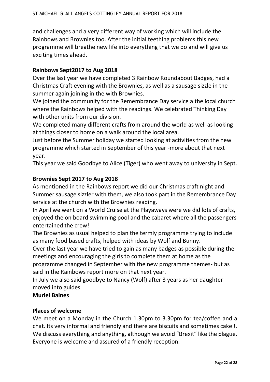and challenges and a very different way of working which will include the Rainbows and Brownies too. After the initial teething problems this new programme will breathe new life into everything that we do and will give us exciting times ahead.

#### **Rainbows Sept2017 to Aug 2018**

Over the last year we have completed 3 Rainbow Roundabout Badges, had a Christmas Craft evening with the Brownies, as well as a sausage sizzle in the summer again joining in the with Brownies.

We joined the community for the Remembrance Day service a the local church where the Rainbows helped with the readings. We celebrated Thinking Day with other units from our division.

We completed many different crafts from around the world as well as looking at things closer to home on a walk around the local area.

Just before the Summer holiday we started looking at activities from the new programme which started in September of this year -more about that next year.

This year we said Goodbye to Alice (Tiger) who went away to university in Sept.

#### **Brownies Sept 2017 to Aug 2018**

As mentioned in the Rainbows report we did our Christmas craft night and Summer sausage sizzler with them, we also took part in the Remembrance Day service at the church with the Brownies reading.

In April we went on a World Cruise at the Playaways were we did lots of crafts, enjoyed the on board swimming pool and the cabaret where all the passengers entertained the crew!

The Brownies as usual helped to plan the termly programme trying to include as many food based crafts, helped with ideas by Wolf and Bunny.

Over the last year we have tried to gain as many badges as possible during the meetings and encouraging the girls to complete them at home as the programme changed in September with the new programme themes- but as said in the Rainbows report more on that next year.

In July we also said goodbye to Nancy (Wolf) after 3 years as her daughter moved into guides

#### **Muriel Baines**

#### **Places of welcome**

We meet on a Monday in the Church 1.30pm to 3.30pm for tea/coffee and a chat. Its very informal and friendly and there are biscuits and sometimes cake !. We discuss everything and anything, although we avoid "Brexit" like the plague. Everyone is welcome and assured of a friendly reception.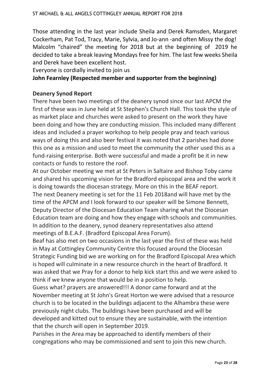Those attending in the last year include Sheila and Derek Ramsden, Margaret Cockerham, Pat Tod, Tracy, Marie, Sylvia, and Jo-ann -and often Missy the dog! Malcolm "chaired" the meeting for 2018 but at the beginning of 2019 he decided to take a break leaving Mondays free for him. The last few weeks Sheila and Derek have been excellent host.

Everyone is cordially invited to join us

#### **John Fearnley (Respected member and supporter from the beginning)**

#### **Deanery Synod Report**

There have been two meetings of the deanery synod since our last APCM the first of these was in June held at St Stephen's Church Hall. This took the style of as market place and churches were asked to present on the work they have been doing and how they are conducting mission. This included many different ideas and included a prayer workshop to help people pray and teach various ways of doing this and also beer festival it was noted that 2 parishes had done this one as a mission and used to meet the community the other used this as a fund-raising enterprise. Both were successful and made a profit be it in new contacts or funds to restore the roof.

At our October meeting we met at St Peters in Saltaire and Bishop Toby came and shared his upcoming vision for the Bradford episcopal area and the work it is doing towards the diocesan strategy. More on this in the BEAF report. The next Deanery meeting is set for the 11 Feb 2018and will have met by the time of the APCM and I look forward to our speaker will be Simone Bennett, Deputy Director of the Diocesan Education Team sharing what the Diocesan Education team are doing and how they engage with schools and communities. In addition to the deanery, synod deanery representatives also attend meetings of B.E.A.F. (Bradford Episcopal Area Forum).

Beaf has also met on two occasions in the last year the first of these was held in May at Cottingley Community Centre this focused around the Diocesan Strategic Funding bid we are working on for the Bradford Episcopal Area which is hoped will culminate in a new resource church in the heart of Bradford. It was asked that we Pray for a donor to help kick start this and we were asked to think if we knew anyone that would be in a position to help.

Guess what? prayers are answered!!! A donor came forward and at the November meeting at St John's Great Horton we were advised that a resource church is to be located in the buildings adjacent to the Alhambra these were previously night clubs. The buildings have been purchased and will be developed and kitted out to ensure they are sustainable, with the intention that the church will open in September 2019.

Parishes in the Area may be approached to identify members of their congregations who may be commissioned and sent to join this new church.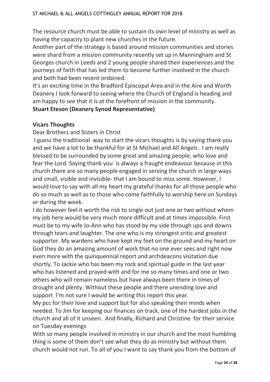The resource church must be able to sustain its own level of ministry as well as having the capacity to plant new churches in the future.

Another part of the strategy is based around mission communities and stories were shard from a mission community recently set up in Manningham and St Georges church in Leeds and 2 young people shared their experiences and the journeys of faith that has led them to become further involved in the church and both had been recent ordained.

It's an exciting time in the Bradford Episcopal Area and in the Aire and Worth Deanery I look forward to seeing where the Church of England is heading and am happy to see that it is at the forefront of mission in the community.

# **Stuart Eteson (Deanery Synod Representative)**

# **Vicars Thoughts**

Dear Brothers and Sisters in Christ

I guess the traditional way to start the vicars thoughts is by saying thank you and we have a lot to be thankful for at St Michael and All Angels . I am really blessed to be surrounded by some great and amazing people, who love and fear the Lord. Saying thank you is always a fraught endeavour because in this church there are so many people engaged in serving the church in large ways and small, visible and invisible- that I am bound to miss some. However, I would love to say with all my heart my grateful thanks for all those people who do so much as well as to those who come faithfully to worship here on Sundays or during the week.

I do however feel it worth the risk to single out just one or two without whom my job here would be very much more difficult and at times impossible. First must be to my wife Jo-Ann who has stood by my side through ups and downs through tears and laughter. The one who is my strongest critic and greatest supporter. My wardens who have kept my feet on the ground and my heart on God they do an amazing amount of work that no one ever sees and right now even more with the quinquennial report and archdeacons visitation due shortly. To Jackie who has been my rock and spiritual guide in the last year who has listened and prayed with and for me so many times and one or two others who will remain nameless but have always been there in times of drought and plenty. Without these people and there unending love and support I'm not sure I would be writing this report this year.

My pcc for their love and support but for also speaking their minds when needed. To Jim for keeping our finances on track, one of the hardest jobs in the church and all of it unseen. And finally, Richard and Christine for their service on Tuesday evenings

With so many people involved in ministry in our church and the most humbling thing is some of them don't see what they do as ministry but without them church would not run. To all of you I want to say thank you from the bottom of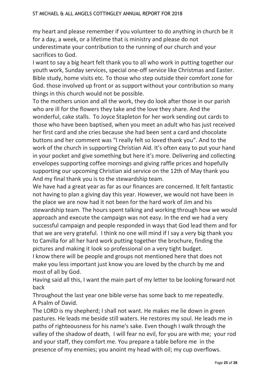my heart and please remember if you volunteer to do anything in church be it for a day, a week, or a lifetime that is ministry and please do not underestimate your contribution to the running of our church and your sacrifices to God.

I want to say a big heart felt thank you to all who work in putting together our youth work, Sunday services, special one-off service like Christmas and Easter. Bible study, home visits etc. To those who step outside their comfort zone for God. those involved up front or as support without your contribution so many things in this church would not be possible.

To the mothers union and all the work, they do look after those in our parish who are ill for the flowers they take and the love they share. And the wonderful, cake stalls. To Joyce Stapleton for her work sending out cards to those who have been baptised, when you meet an adult who has just received her first card and she cries because she had been sent a card and chocolate buttons and her comment was "I really felt so loved thank you". And to the work of the church in supporting Christian Aid. It's often easy to put your hand in your pocket and give something but here it's more. Delivering and collecting envelopes supporting coffee mornings and giving raffle prices and hopefully supporting our upcoming Christian aid service on the 12th of May thank you And my final thank you is to the stewardship team.

We have had a great year as far as our finances are concerned. It felt fantastic not having to plan a giving day this year. However, we would not have been in the place we are now had it not been for the hard work of Jim and his stewardship team. The hours spent talking and working through how we would approach and execute the campaign was not easy. In the end we had a very successful campaign and people responded in ways that God lead them and for that we are very grateful. I think no one will mind if I say a very big thank you to Camilla for all her hard work putting together the brochure, finding the pictures and making it look so professional on a very tight budget.

I know there will be people and groups not mentioned here that does not make you less important just know you are loved by the church by me and most of all by God.

Having said all this, I want the main part of my letter to be looking forward not back

Throughout the last year one bible verse has some back to me repeatedly. A Psalm of David.

The LORD is my shepherd; I shall not want. He makes me lie down in green pastures. He leads me beside still waters. He restores my soul. He leads me in paths of righteousness for his name's sake. Even though I walk through the valley of the shadow of death, I will fear no evil, for you are with me; your rod and your staff, they comfort me. You prepare a table before me in the presence of my enemies; you anoint my head with oil; my cup overflows.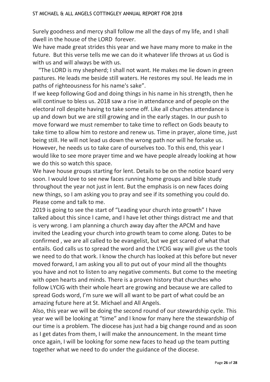Surely goodness and mercy shall follow me all the days of my life, and I shall dwell in the house of the LORD forever.

We have made great strides this year and we have many more to make in the future. But this verse tells me we can do it whatever life throws at us God is with us and will always be with us.

 "The LORD is my shepherd; I shall not want. He makes me lie down in green pastures. He leads me beside still waters. He restores my soul. He leads me in paths of righteousness for his name's sake".

If we keep following God and doing things in his name in his strength, then he will continue to bless us. 2018 saw a rise in attendance and of people on the electoral roll despite having to take some off. Like all churches attendance is up and down but we are still growing and in the early stages. In our push to move forward we must remember to take time to reflect on Gods beauty to take time to allow him to restore and renew us. Time in prayer, alone time, just being still. He will not lead us down the wrong path nor will he forsake us. However, he needs us to take care of ourselves too. To this end, this year I would like to see more prayer time and we have people already looking at how we do this so watch this space.

We have house groups starting for lent. Details to be on the notice board very soon. I would love to see new faces running home groups and bible study throughout the year not just in lent. But the emphasis is on new faces doing new things, so I am asking you to pray and see if its something you could do. Please come and talk to me.

2019 is going to see the start of "Leading your church into growth" I have talked about this since I came, and I have let other things distract me and that is very wrong. I am planning a church away day after the APCM and have invited the Leading your church into growth team to come along. Dates to be confirmed , we are all called to be evangelist, but we get scared of what that entails. God calls us to spread the word and the LYCIG way will give us the tools we need to do that work. I know the church has looked at this before but never moved forward, I am asking you all to put out of your mind all the thoughts you have and not to listen to any negative comments. But come to the meeting with open hearts and minds. There is a proven history that churches who follow LYCIG with their whole heart are growing and because we are called to spread Gods word, I'm sure we will all want to be part of what could be an amazing future here at St. Michael and All Angels.

Also, this year we will be doing the second round of our stewardship cycle. This year we will be looking at "time" and I know for many here the stewardship of our time is a problem. The diocese has just had a big change round and as soon as I get dates from them, I will make the announcement. In the meant time once again, I will be looking for some new faces to head up the team putting together what we need to do under the guidance of the diocese.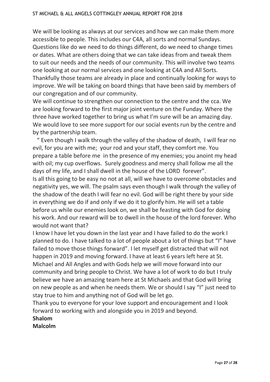We will be looking as always at our services and how we can make them more accessible to people. This includes our C4A, all sorts and normal Sundays. Questions like do we need to do things different, do we need to change times or dates. What are others doing that we can take ideas from and tweak them to suit our needs and the needs of our community. This will involve two teams one looking at our normal services and one looking at C4A and All Sorts. Thankfully those teams are already in place and continually looking for ways to improve. We will be taking on board things that have been said by members of our congregation and of our community.

We will continue to strengthen our connection to the centre and the cca. We are looking forward to the first major joint venture on the Funday. Where the three have worked together to bring us what I'm sure will be an amazing day. We would love to see more support for our social events run by the centre and by the partnership team.

 " Even though I walk through the valley of the shadow of death, I will fear no evil, for you are with me; your rod and your staff, they comfort me. You prepare a table before me in the presence of my enemies; you anoint my head with oil; my cup overflows. Surely goodness and mercy shall follow me all the days of my life, and I shall dwell in the house of the LORD forever".

Is all this going to be easy no not at all, will we have to overcome obstacles and negativity yes, we will. The psalm says even though I walk through the valley of the shadow of the death I will fear no evil. God will be right there by your side in everything we do if and only if we do it to glorify him. He will set a table before us while our enemies look on, we shall be feasting with God for doing his work. And our reward will be to dwell in the house of the lord forever. Who would not want that?

I know I have let you down in the last year and I have failed to do the work I planned to do. I have talked to a lot of people about a lot of things but "I" have failed to move those things forward". I let myself get distracted that will not happen in 2019 and moving forward. I have at least 6 years left here at St. Michael and All Angles and with Gods help we will move forward into our community and bring people to Christ. We have a lot of work to do but I truly believe we have an amazing team here at St Michaels and that God will bring on new people as and when he needs them. We or should I say "I" just need to stay true to him and anything not of God will be let go.

Thank you to everyone for your love support and encouragement and I look forward to working with and alongside you in 2019 and beyond.

# **Shalom**

**Malcolm**